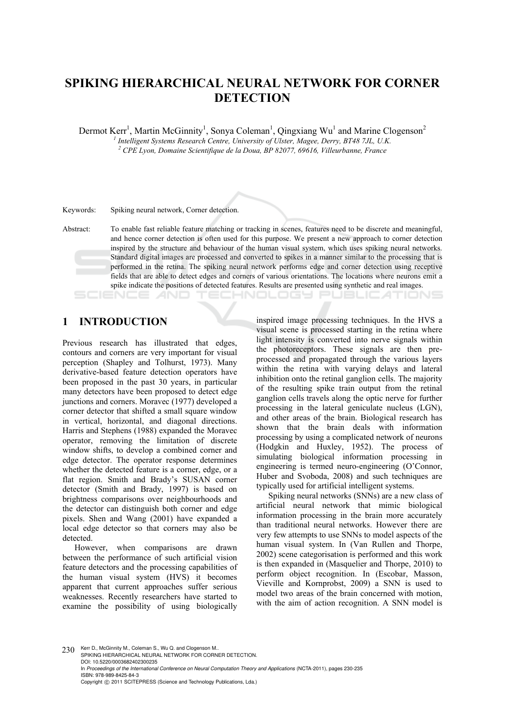# **SPIKING HIERARCHICAL NEURAL NETWORK FOR CORNER DETECTION**

Dermot Kerr<sup>1</sup>, Martin McGinnity<sup>1</sup>, Sonya Coleman<sup>1</sup>, Qingxiang Wu<sup>1</sup> and Marine Clogenson<sup>2</sup>

*1 Intelligent Systems Research Centre, University of Ulster, Magee, Derry, BT48 7JL, U.K. 2 CPE Lyon, Domaine Scientifique de la Doua, BP 82077, 69616, Villeurbanne, France* 

Keywords: Spiking neural network, Corner detection.

**1 INTRODUCTION** 

Previous research has illustrated that edges, contours and corners are very important for visual perception (Shapley and Tolhurst, 1973). Many derivative-based feature detection operators have been proposed in the past 30 years, in particular many detectors have been proposed to detect edge junctions and corners. Moravec (1977) developed a corner detector that shifted a small square window in vertical, horizontal, and diagonal directions. Harris and Stephens (1988) expanded the Moravec operator, removing the limitation of discrete window shifts, to develop a combined corner and edge detector. The operator response determines whether the detected feature is a corner, edge, or a flat region. Smith and Brady's SUSAN corner detector (Smith and Brady, 1997) is based on brightness comparisons over neighbourhoods and the detector can distinguish both corner and edge pixels. Shen and Wang (2001) have expanded a local edge detector so that corners may also be detected.

However, when comparisons are drawn between the performance of such artificial vision feature detectors and the processing capabilities of the human visual system (HVS) it becomes apparent that current approaches suffer serious weaknesses. Recently researchers have started to examine the possibility of using biologically inspired image processing techniques. In the HVS a visual scene is processed starting in the retina where light intensity is converted into nerve signals within the photoreceptors. These signals are then preprocessed and propagated through the various layers within the retina with varying delays and lateral inhibition onto the retinal ganglion cells. The majority of the resulting spike train output from the retinal ganglion cells travels along the optic nerve for further processing in the lateral geniculate nucleus (LGN), and other areas of the brain. Biological research has shown that the brain deals with information processing by using a complicated network of neurons (Hodgkin and Huxley, 1952). The process of simulating biological information processing in engineering is termed neuro-engineering (O'Connor, Huber and Svoboda, 2008) and such techniques are typically used for artificial intelligent systems.

CHNOLOGY PUBLIC ATIONS

Spiking neural networks (SNNs) are a new class of artificial neural network that mimic biological information processing in the brain more accurately than traditional neural networks. However there are very few attempts to use SNNs to model aspects of the human visual system. In (Van Rullen and Thorpe, 2002) scene categorisation is performed and this work is then expanded in (Masquelier and Thorpe, 2010) to perform object recognition. In (Escobar, Masson, Vieville and Kornprobst, 2009) a SNN is used to model two areas of the brain concerned with motion with the aim of action recognition. A SNN model is

230 Kerr D., McGinnity M., Coleman S., Wu Q. and Clogenson M. SPIKING HIERARCHICAL NEURAL NETWORK FOR CORNER DETECTION. DOI: 10.5220/0003682402300235 In *Proceedings of the International Conference on Neural Computation Theory and Applications* (NCTA-2011), pages 230-235 ISBN: 978-989-8425-84-3 Copyright © 2011 SCITEPRESS (Science and Technology Publications, Lda.)

Abstract: To enable fast reliable feature matching or tracking in scenes, features need to be discrete and meaningful, and hence corner detection is often used for this purpose. We present a new approach to corner detection inspired by the structure and behaviour of the human visual system, which uses spiking neural networks. Standard digital images are processed and converted to spikes in a manner similar to the processing that is performed in the retina. The spiking neural network performs edge and corner detection using receptive fields that are able to detect edges and corners of various orientations. The locations where neurons emit a spike indicate the positions of detected features. Results are presented using synthetic and real images.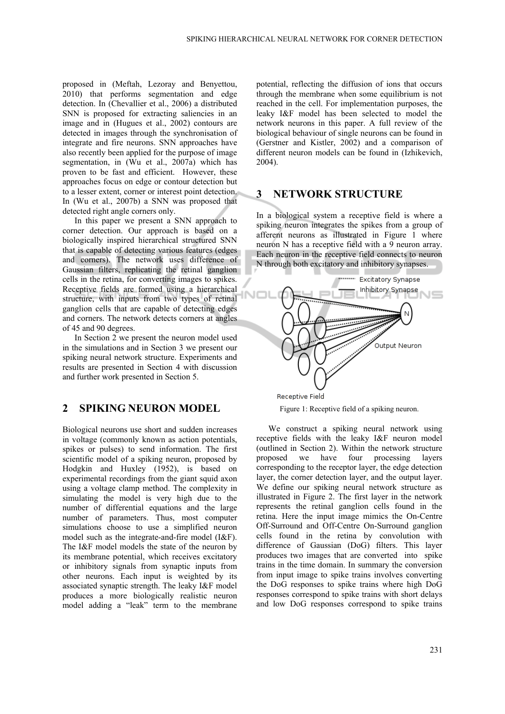proposed in (Meftah, Lezoray and Benyettou, 2010) that performs segmentation and edge detection. In (Chevallier et al., 2006) a distributed SNN is proposed for extracting saliencies in an image and in (Hugues et al., 2002) contours are detected in images through the synchronisation of integrate and fire neurons. SNN approaches have also recently been applied for the purpose of image segmentation, in ( $\overline{W}u$  et al., 2007a) which has proven to be fast and efficient. However, these approaches focus on edge or contour detection but to a lesser extent, corner or interest point detection. In (Wu et al., 2007b) a SNN was proposed that detected right angle corners only.

In this paper we present a SNN approach to corner detection. Our approach is based on a biologically inspired hierarchical structured SNN that is capable of detecting various features (edges and corners). The network uses difference of Gaussian filters, replicating the retinal ganglion cells in the retina, for converting images to spikes. Receptive fields are formed using a hierarchical structure, with inputs from two types of retinal ganglion cells that are capable of detecting edges and corners. The network detects corners at angles of 45 and 90 degrees.

In Section 2 we present the neuron model used in the simulations and in Section 3 we present our spiking neural network structure. Experiments and results are presented in Section 4 with discussion and further work presented in Section 5.

## **2 SPIKING NEURON MODEL**

Biological neurons use short and sudden increases in voltage (commonly known as action potentials, spikes or pulses) to send information. The first scientific model of a spiking neuron, proposed by Hodgkin and Huxley (1952), is based on experimental recordings from the giant squid axon using a voltage clamp method. The complexity in simulating the model is very high due to the number of differential equations and the large number of parameters. Thus, most computer simulations choose to use a simplified neuron model such as the integrate-and-fire model (I&F). The I&F model models the state of the neuron by its membrane potential, which receives excitatory or inhibitory signals from synaptic inputs from other neurons. Each input is weighted by its associated synaptic strength. The leaky I&F model produces a more biologically realistic neuron model adding a "leak" term to the membrane

potential, reflecting the diffusion of ions that occurs through the membrane when some equilibrium is not reached in the cell. For implementation purposes, the leaky I&F model has been selected to model the network neurons in this paper. A full review of the biological behaviour of single neurons can be found in (Gerstner and Kistler, 2002) and a comparison of different neuron models can be found in (Izhikevich, 2004).

## **3 NETWORK STRUCTURE**

In a biological system a receptive field is where a spiking neuron integrates the spikes from a group of afferent neurons as illustrated in Figure 1 where neuron N has a receptive field with a 9 neuron array. Each neuron in the receptive field connects to neuron N through both excitatory and inhibitory synapses.



Figure 1: Receptive field of a spiking neuron.

We construct a spiking neural network using receptive fields with the leaky I&F neuron model (outlined in Section 2). Within the network structure proposed we have four processing layers corresponding to the receptor layer, the edge detection layer, the corner detection layer, and the output layer. We define our spiking neural network structure as illustrated in Figure 2. The first layer in the network represents the retinal ganglion cells found in the retina. Here the input image mimics the On-Centre Off-Surround and Off-Centre On-Surround ganglion cells found in the retina by convolution with difference of Gaussian (DoG) filters. This layer produces two images that are converted into spike trains in the time domain. In summary the conversion from input image to spike trains involves converting the DoG responses to spike trains where high DoG responses correspond to spike trains with short delays and low DoG responses correspond to spike trains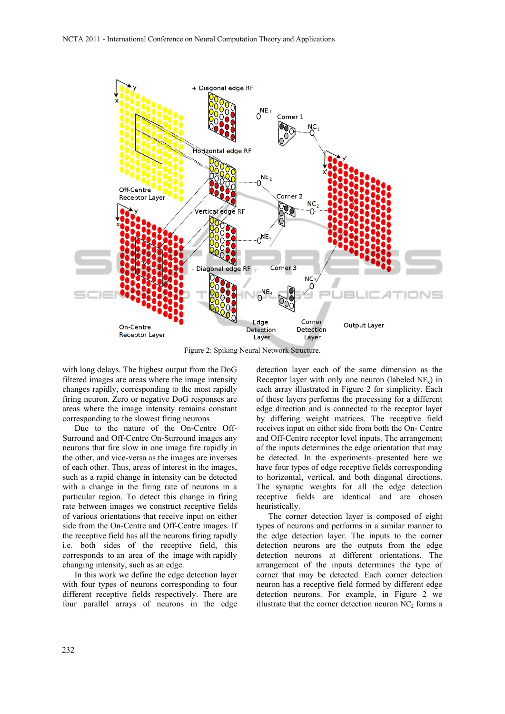

Figure 2: Spiking Neural Network Structure.

with long delays. The highest output from the DoG filtered images are areas where the image intensity changes rapidly, corresponding to the most rapidly firing neuron. Zero or negative DoG responses are areas where the image intensity remains constant corresponding to the slowest firing neurons

Due to the nature of the On-Centre Off-Surround and Off-Centre On-Surround images any neurons that fire slow in one image fire rapidly in the other, and vice-versa as the images are inverses of each other. Thus, areas of interest in the images, such as a rapid change in intensity can be detected with a change in the firing rate of neurons in a particular region. To detect this change in firing rate between images we construct receptive fields of various orientations that receive input on either side from the On-Centre and Off-Centre images. If the receptive field has all the neurons firing rapidly i.e. both sides of the receptive field, this corresponds to an area of the image with rapidly changing intensity, such as an edge.

In this work we define the edge detection layer with four types of neurons corresponding to four different receptive fields respectively. There are four parallel arrays of neurons in the edge detection layer each of the same dimension as the Receptor layer with only one neuron (labeled  $NE_x$ ) in each array illustrated in Figure 2 for simplicity. Each of these layers performs the processing for a different edge direction and is connected to the receptor layer by differing weight matrices. The receptive field receives input on either side from both the On- Centre and Off-Centre receptor level inputs. The arrangement of the inputs determines the edge orientation that may be detected. In the experiments presented here we have four types of edge receptive fields corresponding to horizontal, vertical, and both diagonal directions. The synaptic weights for all the edge detection receptive fields are identical and are chosen heuristically.

The corner detection layer is composed of eight types of neurons and performs in a similar manner to the edge detection layer. The inputs to the corner detection neurons are the outputs from the edge detection neurons at different orientations. The arrangement of the inputs determines the type of corner that may be detected. Each corner detection neuron has a receptive field formed by different edge detection neurons. For example, in Figure 2 we illustrate that the corner detection neuron  $NC<sub>2</sub>$  forms a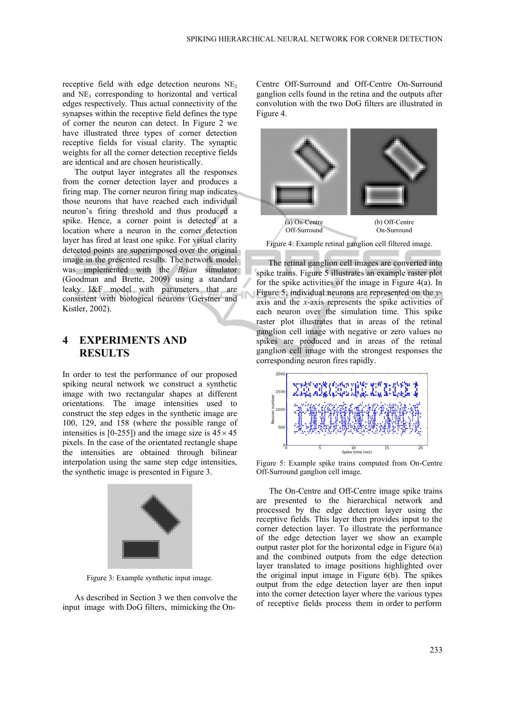receptive field with edge detection neurons  $NE<sub>2</sub>$ and  $NE<sub>3</sub>$  corresponding to horizontal and vertical edges respectively. Thus actual connectivity of the synapses within the receptive field defines the type of corner the neuron can detect. In Figure 2 we have illustrated three types of corner detection receptive fields for visual clarity. The synaptic weights for all the corner detection receptive fields are identical and are chosen heuristically.

The output layer integrates all the responses from the corner detection layer and produces a firing map. The corner neuron firing map indicates those neurons that have reached each individual neuron's firing threshold and thus produced a spike. Hence, a corner point is detected at a location where a neuron in the corner detection layer has fired at least one spike. For visual clarity detected points are superimposed over the original image in the presented results. The network model was implemented with the *Brian* simulator (Goodman and Brette, 2009) using a standard leaky I&F model with parameters that are consistent with biological neurons (Gerstner and Kistler, 2002).

## **4 EXPERIMENTS AND RESULTS**

In order to test the performance of our proposed spiking neural network we construct a synthetic image with two rectangular shapes at different orientations. The image intensities used to construct the step edges in the synthetic image are 100, 129, and 158 (where the possible range of intensities is [0-255]) and the image size is  $45 \times 45$ pixels. In the case of the orientated rectangle shape the intensities are obtained through bilinear interpolation using the same step edge intensities, the synthetic image is presented in Figure 3.



Figure 3: Example synthetic input image.

As described in Section 3 we then convolve the input image with DoG filters, mimicking the OnCentre Off-Surround and Off-Centre On-Surround ganglion cells found in the retina and the outputs after convolution with the two DoG filters are illustrated in Figure 4.



Figure 4: Example retinal ganglion cell filtered image.

The retinal ganglion cell images are converted into spike trains. Figure 5 illustrates an example raster plot for the spike activities of the image in Figure 4(a). In Figure 5, individual neurons are represented on the *y*axis and the *x*-axis represents the spike activities of each neuron over the simulation time. This spike raster plot illustrates that in areas of the retinal ganglion cell image with negative or zero values no spikes are produced and in areas of the retinal ganglion cell image with the strongest responses the corresponding neuron fires rapidly.



Figure 5: Example spike trains computed from On-Centre Off-Surround ganglion cell image.

The On-Centre and Off-Centre image spike trains are presented to the hierarchical network and processed by the edge detection layer using the receptive fields. This layer then provides input to the corner detection layer. To illustrate the performance of the edge detection layer we show an example output raster plot for the horizontal edge in Figure 6(a) and the combined outputs from the edge detection layer translated to image positions highlighted over the original input image in Figure 6(b). The spikes output from the edge detection layer are then input into the corner detection layer where the various types of receptive fields process them in order to perform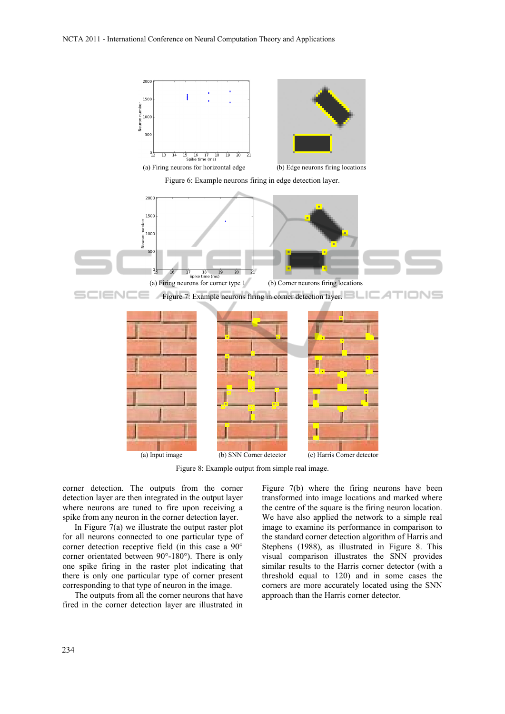

Figure 8: Example output from simple real image.

corner detection. The outputs from the corner detection layer are then integrated in the output layer where neurons are tuned to fire upon receiving a spike from any neuron in the corner detection layer.

In Figure 7(a) we illustrate the output raster plot for all neurons connected to one particular type of corner detection receptive field (in this case a 90° corner orientated between 90°-180°). There is only one spike firing in the raster plot indicating that there is only one particular type of corner present corresponding to that type of neuron in the image.

The outputs from all the corner neurons that have fired in the corner detection layer are illustrated in Figure 7(b) where the firing neurons have been transformed into image locations and marked where the centre of the square is the firing neuron location. We have also applied the network to a simple real image to examine its performance in comparison to the standard corner detection algorithm of Harris and Stephens (1988), as illustrated in Figure 8. This visual comparison illustrates the SNN provides similar results to the Harris corner detector (with a threshold equal to 120) and in some cases the corners are more accurately located using the SNN approach than the Harris corner detector.